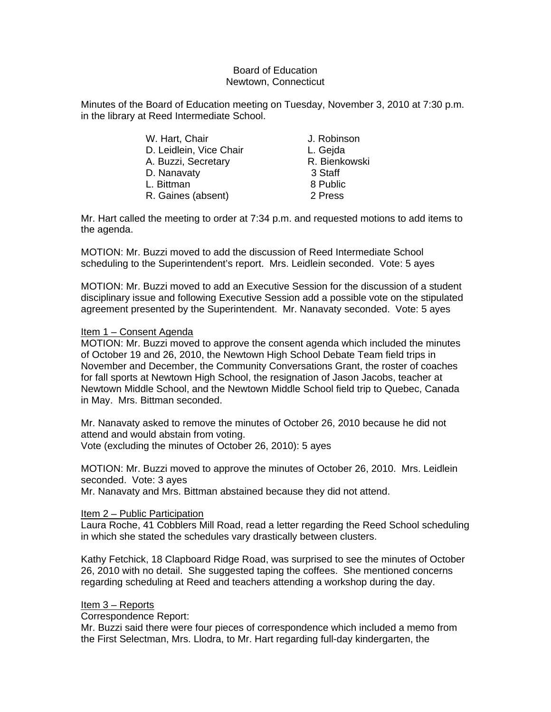#### Board of Education Newtown, Connecticut

Minutes of the Board of Education meeting on Tuesday, November 3, 2010 at 7:30 p.m. in the library at Reed Intermediate School.

| W. Hart, Chair          | J. Robinson   |
|-------------------------|---------------|
| D. Leidlein, Vice Chair | L. Gejda      |
| A. Buzzi, Secretary     | R. Bienkowski |
| D. Nanavaty             | 3 Staff       |
| L. Bittman              | 8 Public      |
| R. Gaines (absent)      | 2 Press       |
|                         |               |

Mr. Hart called the meeting to order at 7:34 p.m. and requested motions to add items to the agenda.

MOTION: Mr. Buzzi moved to add the discussion of Reed Intermediate School scheduling to the Superintendent's report. Mrs. Leidlein seconded. Vote: 5 ayes

MOTION: Mr. Buzzi moved to add an Executive Session for the discussion of a student disciplinary issue and following Executive Session add a possible vote on the stipulated agreement presented by the Superintendent. Mr. Nanavaty seconded. Vote: 5 ayes

#### Item 1 – Consent Agenda

MOTION: Mr. Buzzi moved to approve the consent agenda which included the minutes of October 19 and 26, 2010, the Newtown High School Debate Team field trips in November and December, the Community Conversations Grant, the roster of coaches for fall sports at Newtown High School, the resignation of Jason Jacobs, teacher at Newtown Middle School, and the Newtown Middle School field trip to Quebec, Canada in May. Mrs. Bittman seconded.

Mr. Nanavaty asked to remove the minutes of October 26, 2010 because he did not attend and would abstain from voting. Vote (excluding the minutes of October 26, 2010): 5 ayes

MOTION: Mr. Buzzi moved to approve the minutes of October 26, 2010. Mrs. Leidlein seconded. Vote: 3 ayes

Mr. Nanavaty and Mrs. Bittman abstained because they did not attend.

#### Item 2 – Public Participation

Laura Roche, 41 Cobblers Mill Road, read a letter regarding the Reed School scheduling in which she stated the schedules vary drastically between clusters.

Kathy Fetchick, 18 Clapboard Ridge Road, was surprised to see the minutes of October 26, 2010 with no detail. She suggested taping the coffees. She mentioned concerns regarding scheduling at Reed and teachers attending a workshop during the day.

#### Item 3 – Reports

Correspondence Report:

Mr. Buzzi said there were four pieces of correspondence which included a memo from the First Selectman, Mrs. Llodra, to Mr. Hart regarding full-day kindergarten, the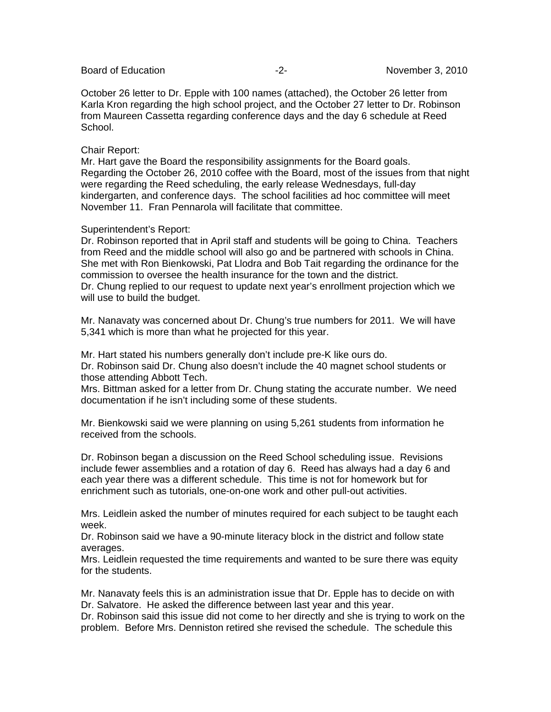October 26 letter to Dr. Epple with 100 names (attached), the October 26 letter from Karla Kron regarding the high school project, and the October 27 letter to Dr. Robinson from Maureen Cassetta regarding conference days and the day 6 schedule at Reed School.

#### Chair Report:

Mr. Hart gave the Board the responsibility assignments for the Board goals. Regarding the October 26, 2010 coffee with the Board, most of the issues from that night were regarding the Reed scheduling, the early release Wednesdays, full-day kindergarten, and conference days. The school facilities ad hoc committee will meet November 11. Fran Pennarola will facilitate that committee.

#### Superintendent's Report:

Dr. Robinson reported that in April staff and students will be going to China. Teachers from Reed and the middle school will also go and be partnered with schools in China. She met with Ron Bienkowski, Pat Llodra and Bob Tait regarding the ordinance for the commission to oversee the health insurance for the town and the district. Dr. Chung replied to our request to update next year's enrollment projection which we will use to build the budget.

Mr. Nanavaty was concerned about Dr. Chung's true numbers for 2011. We will have 5,341 which is more than what he projected for this year.

Mr. Hart stated his numbers generally don't include pre-K like ours do. Dr. Robinson said Dr. Chung also doesn't include the 40 magnet school students or those attending Abbott Tech.

Mrs. Bittman asked for a letter from Dr. Chung stating the accurate number. We need documentation if he isn't including some of these students.

Mr. Bienkowski said we were planning on using 5,261 students from information he received from the schools.

Dr. Robinson began a discussion on the Reed School scheduling issue. Revisions include fewer assemblies and a rotation of day 6. Reed has always had a day 6 and each year there was a different schedule. This time is not for homework but for enrichment such as tutorials, one-on-one work and other pull-out activities.

Mrs. Leidlein asked the number of minutes required for each subject to be taught each week.

Dr. Robinson said we have a 90-minute literacy block in the district and follow state averages.

Mrs. Leidlein requested the time requirements and wanted to be sure there was equity for the students.

Mr. Nanavaty feels this is an administration issue that Dr. Epple has to decide on with Dr. Salvatore. He asked the difference between last year and this year.

Dr. Robinson said this issue did not come to her directly and she is trying to work on the problem. Before Mrs. Denniston retired she revised the schedule. The schedule this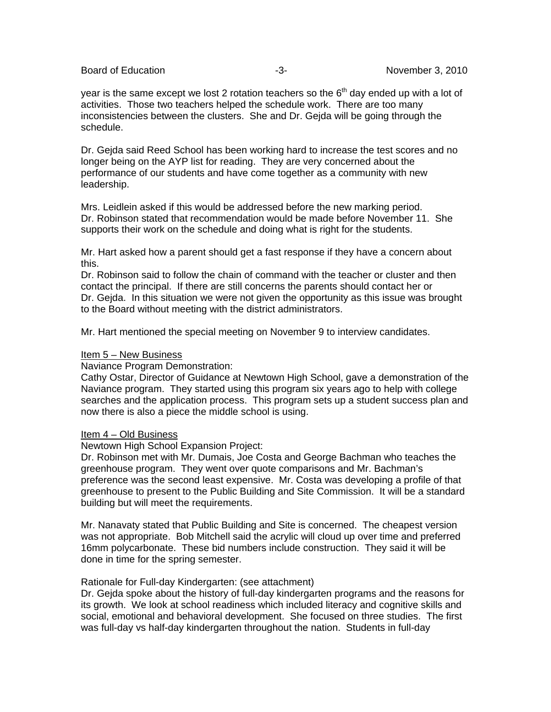Board of Education **-2-** All the state of Education and the state of the state of the state of the state of the state of the state of the state of the state of the state of the state of the state of the state of the state

year is the same except we lost 2 rotation teachers so the  $6<sup>th</sup>$  day ended up with a lot of activities. Those two teachers helped the schedule work. There are too many inconsistencies between the clusters. She and Dr. Gejda will be going through the schedule.

Dr. Gejda said Reed School has been working hard to increase the test scores and no longer being on the AYP list for reading. They are very concerned about the performance of our students and have come together as a community with new leadership.

Mrs. Leidlein asked if this would be addressed before the new marking period. Dr. Robinson stated that recommendation would be made before November 11. She supports their work on the schedule and doing what is right for the students.

Mr. Hart asked how a parent should get a fast response if they have a concern about this.

Dr. Robinson said to follow the chain of command with the teacher or cluster and then contact the principal. If there are still concerns the parents should contact her or Dr. Gejda. In this situation we were not given the opportunity as this issue was brought to the Board without meeting with the district administrators.

Mr. Hart mentioned the special meeting on November 9 to interview candidates.

#### Item 5 – New Business

Naviance Program Demonstration:

Cathy Ostar, Director of Guidance at Newtown High School, gave a demonstration of the Naviance program. They started using this program six years ago to help with college searches and the application process. This program sets up a student success plan and now there is also a piece the middle school is using.

#### Item 4 – Old Business

Newtown High School Expansion Project:

Dr. Robinson met with Mr. Dumais, Joe Costa and George Bachman who teaches the greenhouse program. They went over quote comparisons and Mr. Bachman's preference was the second least expensive. Mr. Costa was developing a profile of that greenhouse to present to the Public Building and Site Commission. It will be a standard building but will meet the requirements.

Mr. Nanavaty stated that Public Building and Site is concerned. The cheapest version was not appropriate. Bob Mitchell said the acrylic will cloud up over time and preferred 16mm polycarbonate. These bid numbers include construction. They said it will be done in time for the spring semester.

#### Rationale for Full-day Kindergarten: (see attachment)

Dr. Gejda spoke about the history of full-day kindergarten programs and the reasons for its growth. We look at school readiness which included literacy and cognitive skills and social, emotional and behavioral development. She focused on three studies. The first was full-day vs half-day kindergarten throughout the nation. Students in full-day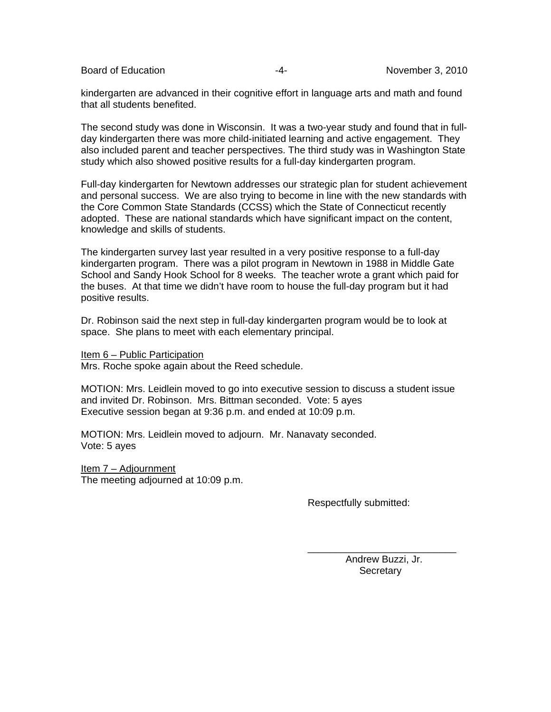kindergarten are advanced in their cognitive effort in language arts and math and found that all students benefited.

The second study was done in Wisconsin. It was a two-year study and found that in fullday kindergarten there was more child-initiated learning and active engagement. They also included parent and teacher perspectives. The third study was in Washington State study which also showed positive results for a full-day kindergarten program.

Full-day kindergarten for Newtown addresses our strategic plan for student achievement and personal success. We are also trying to become in line with the new standards with the Core Common State Standards (CCSS) which the State of Connecticut recently adopted. These are national standards which have significant impact on the content, knowledge and skills of students.

The kindergarten survey last year resulted in a very positive response to a full-day kindergarten program. There was a pilot program in Newtown in 1988 in Middle Gate School and Sandy Hook School for 8 weeks. The teacher wrote a grant which paid for the buses. At that time we didn't have room to house the full-day program but it had positive results.

Dr. Robinson said the next step in full-day kindergarten program would be to look at space. She plans to meet with each elementary principal.

Item 6 – Public Participation Mrs. Roche spoke again about the Reed schedule.

MOTION: Mrs. Leidlein moved to go into executive session to discuss a student issue and invited Dr. Robinson. Mrs. Bittman seconded. Vote: 5 ayes Executive session began at 9:36 p.m. and ended at 10:09 p.m.

 $\overline{\phantom{a}}$  , and the contract of the contract of the contract of the contract of the contract of the contract of the contract of the contract of the contract of the contract of the contract of the contract of the contrac

MOTION: Mrs. Leidlein moved to adjourn. Mr. Nanavaty seconded. Vote: 5 ayes

Item 7 – Adjournment The meeting adjourned at 10:09 p.m.

Respectfully submitted:

 Andrew Buzzi, Jr. **Secretary**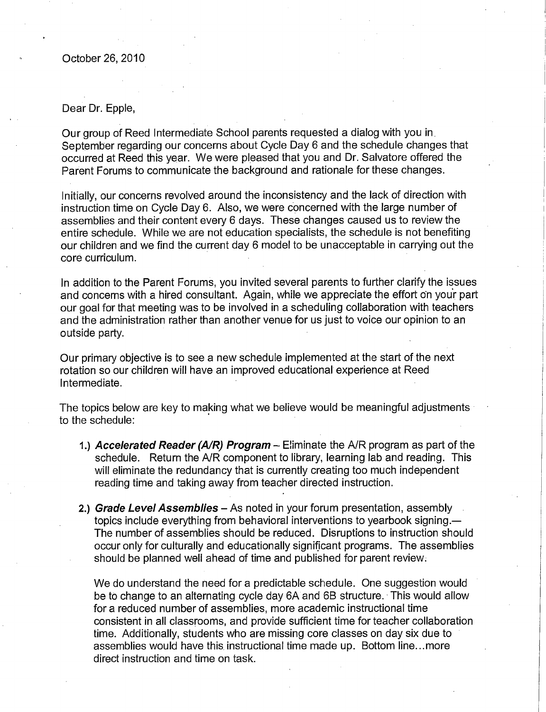#### Dear Dr. Epple.

Our group of Reed Intermediate School parents requested a dialog with you in September regarding our concerns about Cycle Day 6 and the schedule changes that occurred at Reed this year. We were pleased that you and Dr. Salvatore offered the Parent Forums to communicate the background and rationale for these changes.

Initially, our concerns revolved around the inconsistency and the lack of direction with instruction time on Cycle Day 6. Also, we were concerned with the large number of assemblies and their content every 6 days. These changes caused us to review the entire schedule. While we are not education specialists, the schedule is not benefiting our children and we find the current day 6 model to be unacceptable in carrying out the core curriculum.

In addition to the Parent Forums, you invited several parents to further clarify the issues and concerns with a hired consultant. Again, while we appreciate the effort on your part our goal for that meeting was to be involved in a scheduling collaboration with teachers and the administration rather than another venue for us just to voice our opinion to an outside party.

Our primary objective is to see a new schedule implemented at the start of the next rotation so our children will have an improved educational experience at Reed Intermediate.

The topics below are key to making what we believe would be meaningful adjustments to the schedule:

- 1.) Accelerated Reader (A/R) Program Eliminate the A/R program as part of the schedule. Return the A/R component to library, learning lab and reading. This will eliminate the redundancy that is currently creating too much independent reading time and taking away from teacher directed instruction.
- 2.) Grade Level Assemblies As noted in your forum presentation, assembly topics include everything from behavioral interventions to yearbook signing.-The number of assemblies should be reduced. Disruptions to instruction should occur only for culturally and educationally significant programs. The assemblies should be planned well ahead of time and published for parent review.

We do understand the need for a predictable schedule. One suggestion would be to change to an alternating cycle day 6A and 6B structure. This would allow for a reduced number of assemblies, more academic instructional time consistent in all classrooms, and provide sufficient time for teacher collaboration time. Additionally, students who are missing core classes on day six due to assemblies would have this instructional time made up. Bottom line...more direct instruction and time on task.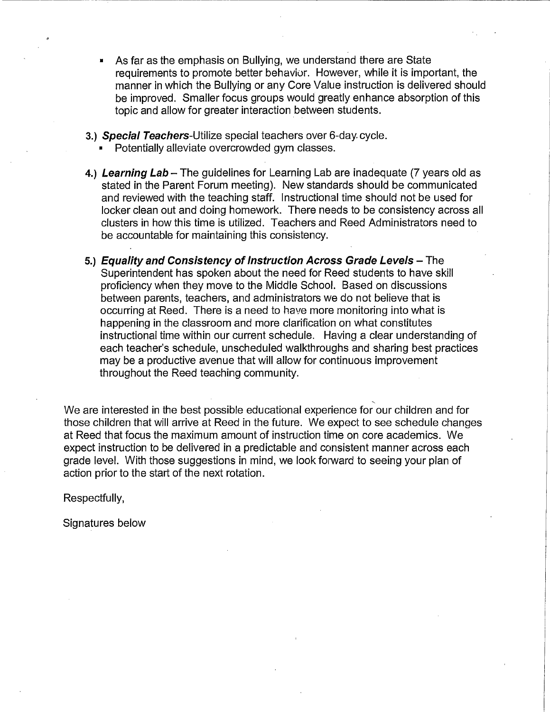- As far as the emphasis on Bullying, we understand there are State requirements to promote better behavior. However, while it is important, the manner in which the Bullying or any Core Value instruction is delivered should be improved. Smaller focus groups would greatly enhance absorption of this topic and allow for greater interaction between students.
- 3.) Special Teachers-Utilize special teachers over 6-day cycle.
	- Potentially alleviate overcrowded gym classes.
- 4.) Learning Lab The quidelines for Learning Lab are inadequate (7 years old as stated in the Parent Forum meeting). New standards should be communicated and reviewed with the teaching staff. Instructional time should not be used for locker clean out and doing homework. There needs to be consistency across all clusters in how this time is utilized. Teachers and Reed Administrators need to be accountable for maintaining this consistency.
- 5.) Equality and Consistency of Instruction Across Grade Levels The Superintendent has spoken about the need for Reed students to have skill proficiency when they move to the Middle School. Based on discussions between parents, teachers, and administrators we do not believe that is occurring at Reed. There is a need to have more monitoring into what is happening in the classroom and more clarification on what constitutes instructional time within our current schedule. Having a clear understanding of each teacher's schedule, unscheduled walkthroughs and sharing best practices may be a productive avenue that will allow for continuous improvement throughout the Reed teaching community.

We are interested in the best possible educational experience for our children and for those children that will arrive at Reed in the future. We expect to see schedule changes at Reed that focus the maximum amount of instruction time on core academics. We expect instruction to be delivered in a predictable and consistent manner across each grade level. With those suggestions in mind, we look forward to seeing your plan of action prior to the start of the next rotation.

Respectfully,

Signatures below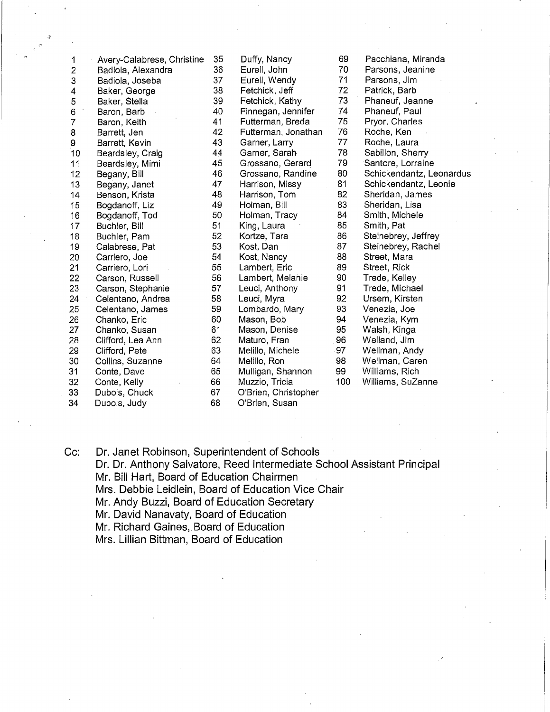| 1              | Avery-Calabrese, Christine | 35 | Duffy, Nancy         | 69  | Pacchiana, Miranda       |
|----------------|----------------------------|----|----------------------|-----|--------------------------|
| 2              | Badiola, Alexandra         | 36 | Eurell, John         | 70  | Parsons, Jeanine         |
| 3              | Badiola, Joseba            | 37 | Eurell, Wendy        | 71  | Parsons, Jim             |
| 4              | Baker, George              | 38 | Fetchick, Jeff       | 72  | Patrick, Barb            |
| 5              | Baker, Stella              | 39 | Fetchick, Kathy      | 73  | Phaneuf, Jeanne          |
| 6              | Baron, Barb                | 40 | Finnegan, Jennifer   | 74  | Phaneuf, Paul            |
| $\overline{7}$ | Baron, Keith               | 41 | Futterman, Breda     | 75  | Pryor, Charles           |
| 8              | Barrett, Jen               | 42 | Futterman, Jonathan  | 76  | Roche, Ken               |
| 9              | Barrett, Kevin             | 43 | Garner, Larry        | 77  | Roche, Laura             |
| 10             | Beardsley, Craig           | 44 | Garner, Sarah        | 78  | Sabillon, Sherry         |
| 11             | Beardsley, Mimi            | 45 | Grossano, Gerard     | 79  | Santore, Lorraine        |
| 12             | Begany, Bill               | 46 | Grossano, Randine    | 80  | Schickendantz, Leonardus |
| 13             | Begany, Janet              | 47 | Harrison, Missy      | 81  | Schickendantz, Leonie    |
| 14             | Benson, Krista             | 48 | Harrison, Tom        | 82  | Sheridan, James          |
| 15             | Bogdanoff, Liz             | 49 | Holman, Bill         | 83  | Sheridan, Lisa           |
| 16             | Bogdanoff, Tod             | 50 | Holman, Tracy        | 84  | Smith, Michele           |
| 17             | Buchler, Bill              | 51 | King, Laura          | 85  | Smith, Pat               |
| 18             | Buchler, Pam               | 52 | Kortze, Tara         | 86  | Steinebrey, Jeffrey      |
| 19             | Calabrese, Pat             | 53 | Kost, Dan            | 87. | Steinebrey, Rachel       |
| 20             | Carriero, Joe              | 54 | Kost, Nancy          | 88  | Street, Mara             |
| 21             | Carriero, Lori             | 55 | Lambert, Eric        | 89  | Street, Rick             |
| 22             | Carson, Russell            | 56 | Lambert, Melanie     | 90  | Trede, Kelley            |
| 23             | Carson, Stephanie          | 57 | Leuci, Anthony       | 91  | Trede, Michael           |
| 24             | Celentano, Andrea          | 58 | Leuci, Myra          | 92  | Ursem, Kirsten           |
| 25             | Celentano, James           | 59 | Lombardo, Mary       | 93  | Venezia, Joe             |
| 26             | Chanko, Eric               | 60 | Mason, Bob           | 94  | Venezia, Kym             |
| 27             | Chanko, Susan              | 61 | Mason, Denise        | 95  | Walsh, Kinga             |
| 28             | Clifford, Lea Ann          | 62 | Maturo, Fran         | 96  | Weiland, Jim             |
| 29             | Clifford, Pete             | 63 | Melillo, Michele     | 97  | Wellman, Andy            |
| 30             | Collins, Suzanne           | 64 | Melillo, Ron         | 98  | Wellman, Caren           |
| 31             | Conte, Dave                | 65 | Mulligan, Shannon    | 99  | Williams, Rich           |
| 32             | Conte, Kelly               | 66 | Muzzio, Tricia       | 100 | Williams, SuZanne        |
| 33             | Dubois, Chuck              | 67 | O'Brien, Christopher |     |                          |
| 34             | Dubois, Judy               | 68 | O'Brien, Susan       |     |                          |

Dr. Janet Robinson, Superintendent of Schools Cc: Dr. Dr. Anthony Salvatore, Reed Intermediate School Assistant Principal Mr. Bill Hart, Board of Education Chairmen Mrs. Debbie Leidlein, Board of Education Vice Chair Mr. Andy Buzzi, Board of Education Secretary Mr. David Nanavaty, Board of Education Mr. Richard Gaines, Board of Education Mrs. Lillian Bittman, Board of Education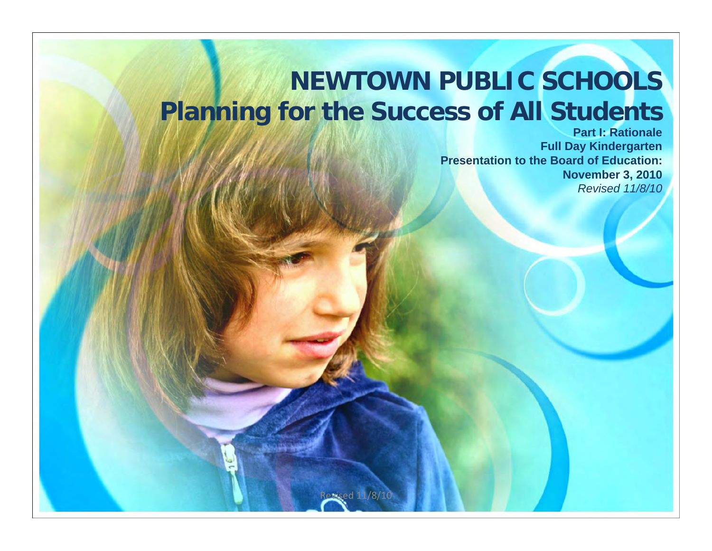#### **NEWTOWN PUBLIC SCHOOLS Planning for the Success of All Students**

**Part I: RationaleFull Day Kindergarten Presentation to the Board of Education: November 3, 2010** *Revised 11/8/10*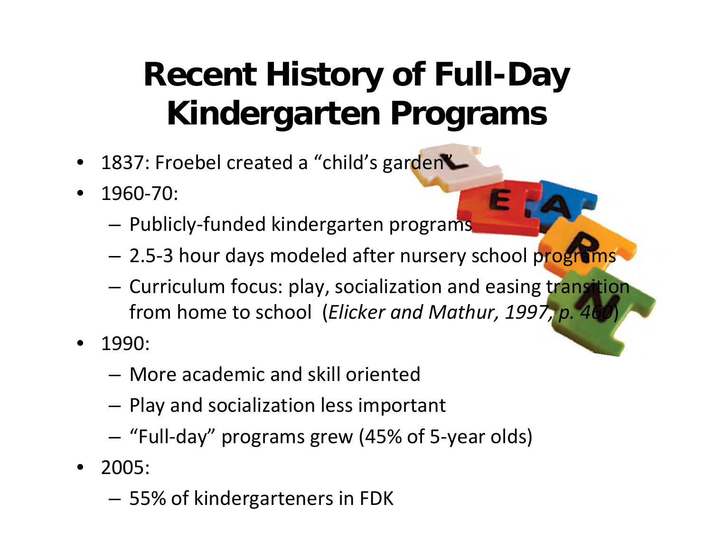## **Recent History of Full-Day Kindergarten Programs**

- 1837: Froebel created a "child's garden"
- 1960 ‐70:
	- $-$  Publicly-funded kindergarten programs
	- 2.5-3 hour days modeled after nursery school programs
	- Curriculum focus: play, socialization and easing transition from home to school (*Elicker and Mathur, 1997, p. 460*)
- 1990:
	- More academic and skill oriented
	- Play and socialization less important
	- "Full-day" programs grew (45% of 5-year olds)
- 2005:
	- 55% of kindergarteners in FDK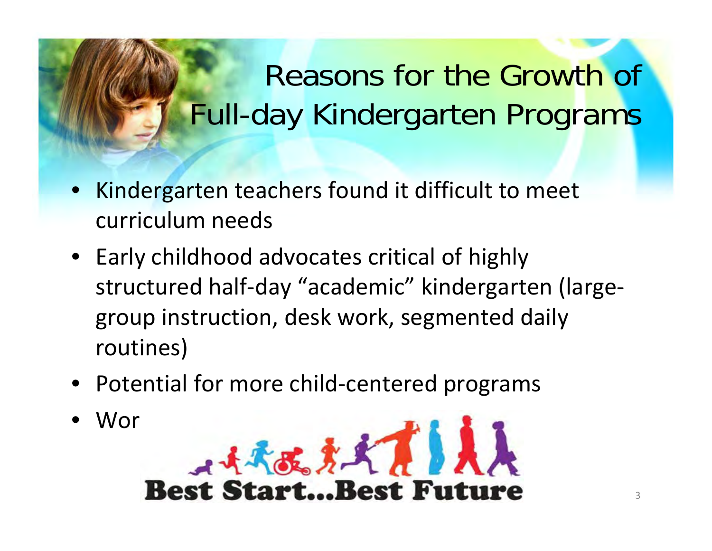## Reasons for the Growth of Full-day Kindergarten Programs

- Kindergarten teachers found it difficult to meet curriculum needs
- Early childhood advocates critical of highly structured half ‐day "academic" kindergarten (large ‐ group instruction, desk work, segmented daily routines)
- Potential for more child-centered programs
- Wor<br>Best Start...Best Future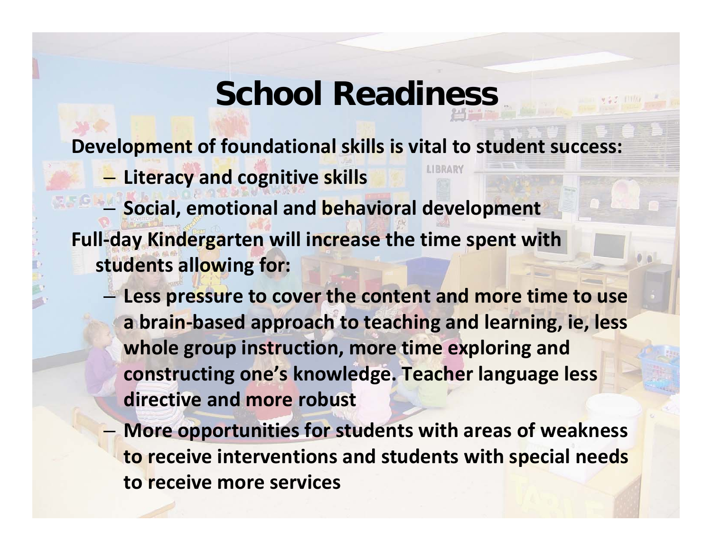### **School Readiness**

**Development of foundational skills is vital to student success:**

– **Literacy and cognitive skills**

– **Social, emotional and behavioral development Full ‐day Kindergarten will increase the time spent with students allowing for:**

- **Less pressure to cover the content and more time to use a brain ‐based approach to teaching and learning, ie, less whole group instruction, more time exploring and constructing one's knowledge. Teacher language less directive and more robust**
- **More opportunities for students with areas of weakness to receive interventions and students with special needs to receive more services**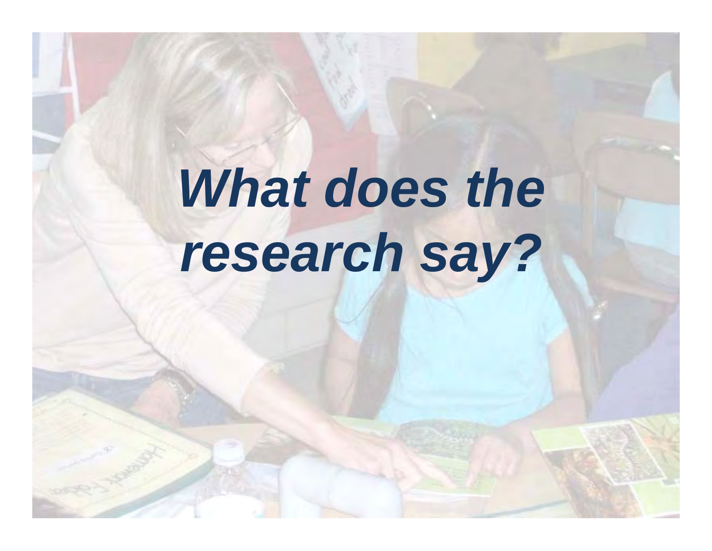# What does the *research say?*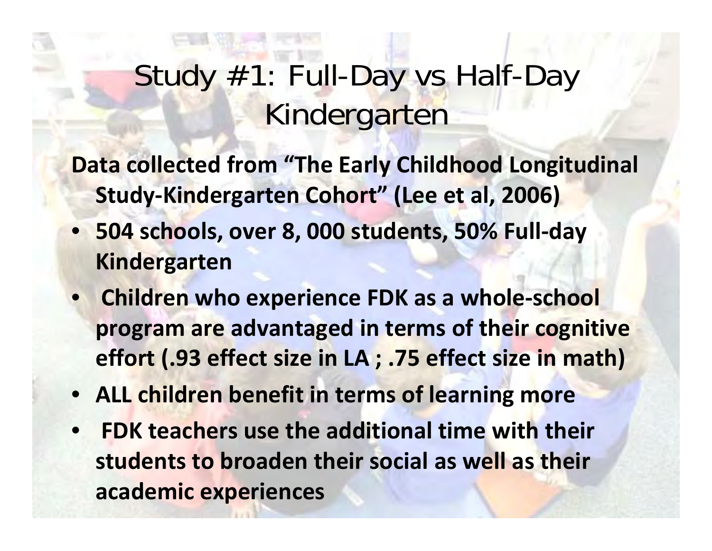### Study #1: Full-Day vs Half-Day Kindergarten

- **Data collected from "The Early Childhood Longitudinal Study ‐Kindergarten Cohort" (Lee et al, 2006)**
- **504 schools, over 8, 000 students, 50% Full ‐day Kindergarten**
- **Children who experience FDK as a whole ‐school program are advantaged in terms of their cognitive effort (.93 effect size in LA ; .75 effect size in math)**
- **ALL children benefit in terms of learning more**
- **FDK teachers use the additional time with their students to broaden their social as well as their academic experiences**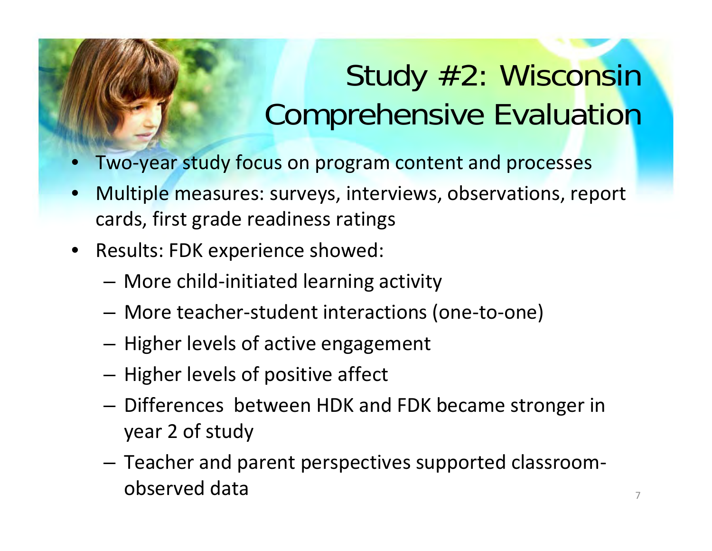## Study #2: Wisconsin Comprehensive Evaluation

- Two ‐year study focus on program content and processes
- Multiple measures: surveys, interviews, observations, report cards, first grade readiness ratings
- Results: FDK experience showed:
	- $-$  More child-initiated learning activity
	- More teacher-student interactions (one-to-one)
	- Higher levels of active engagement
	- Higher levels of positive affect
	- Differences between HDK and FDK became stronger in year 2 of study
	- Teacher and parent perspectives supported classroom ‐ observed data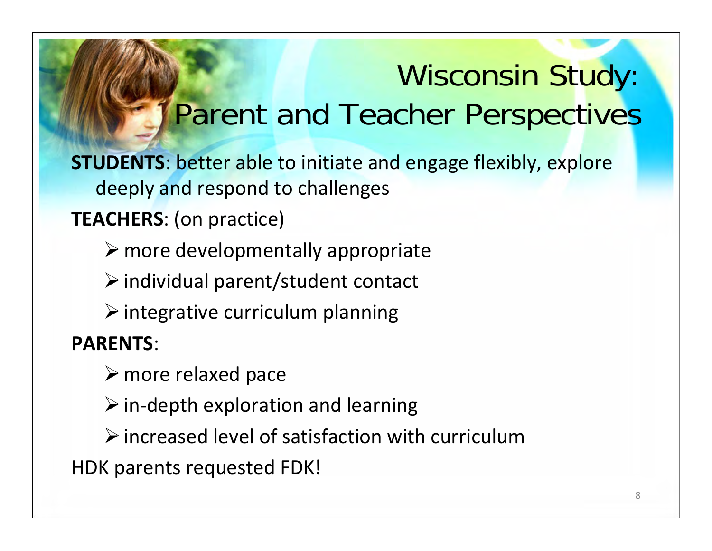## Wisconsin Study: Parent and Teacher Perspectives

**STUDENTS**: better able to initiate and engage flexibly, explore deeply and respond to challenges

#### **TEACHERS**: (on practice)

 $\triangleright$  more developmentally appropriate

 $\triangleright$  individual parent/student contact

 $\triangleright$  integrative curriculum planning

**PARENTS**:

 $\triangleright$  more relaxed pace

 $\triangleright$  in-depth exploration and learning

 $\triangleright$  increased level of satisfaction with curriculum

HDK parents requested FDK!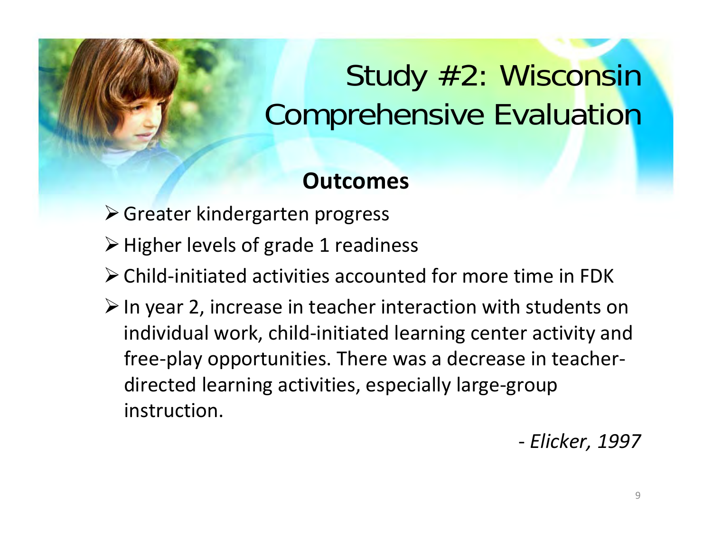## Study #2: Wisconsin Comprehensive Evaluation

#### **Outcomes**

- Greater kindergarten progress
- **≻** Higher levels of grade 1 readiness
- Child‐initiated activities accounted for more time in FDK
- $\triangleright$  In year 2, increase in teacher interaction with students on individual work, child-initiated learning center activity and free ‐play opportunities. There was a decrease in teacher ‐ directed learning activities, especially large ‐group instruction.

‐*Elicker, 1997*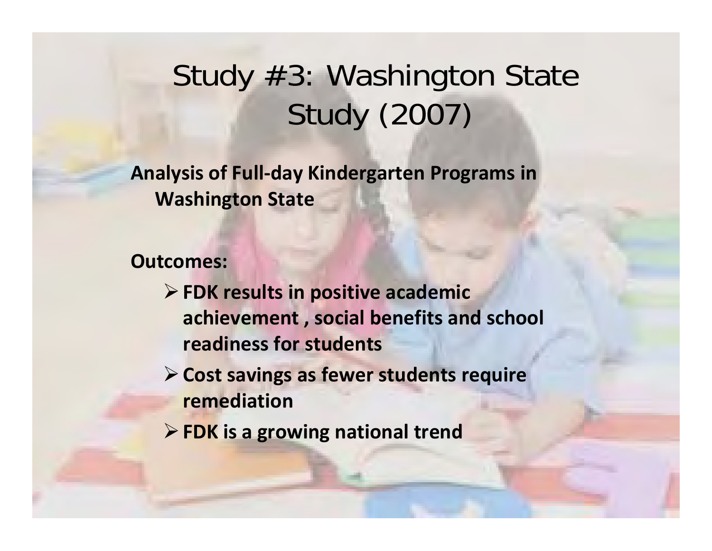### Study #3: Washington State Study (2007)

**Analysis of Full ‐day Kindergarten Programs in Washington State**

**Outcomes:**

- **FDK results in positive academic achievement , social benefits and school readiness for students**
- **Cost savings as fewer students require remediation**
- **FDK is a growing national trend**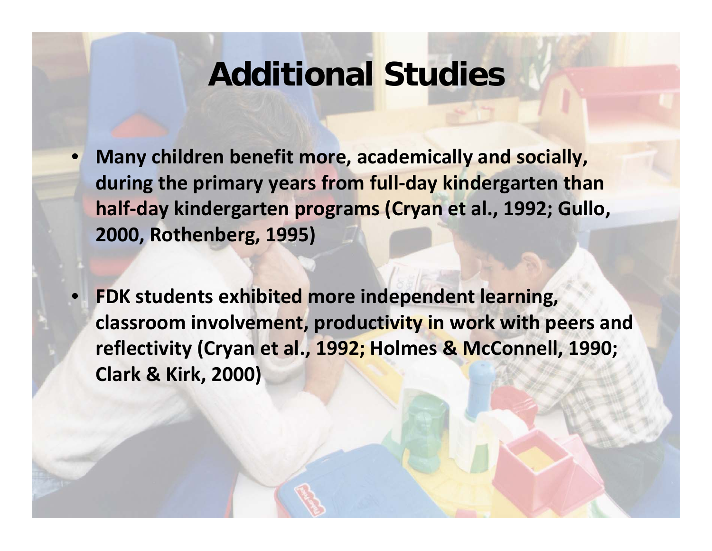#### **Additional Studies**

- **Many children benefit more, academically and socially, during the primary years from full‐day kindergarten than half‐day kindergarten programs (Cryan et al., 1992; Gullo, 2000, Rothenberg, 1995)**
- **FDK students exhibited more independent learning, classroom involvement, productivity in work with peers and reflectivity (Cryan et al., 1992; Holmes & McConnell, 1990; Clark & Kirk, 2000)**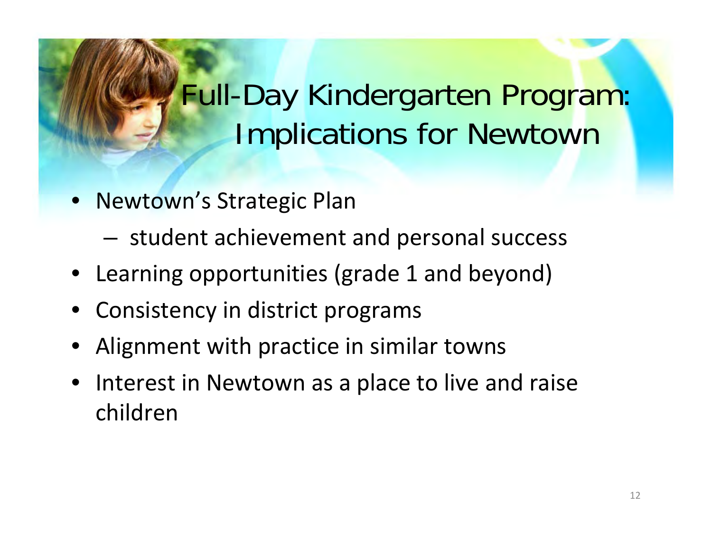## Full-Day Kindergarten Program: Implications for Newtown

- Newtown's Strategic Plan
	- student achievement and personal success
- Learning opportunities (grade 1 and beyond)
- Consistency in district programs
- Alignment with practice in similar towns
- Interest in Newtown as a place to live and raise children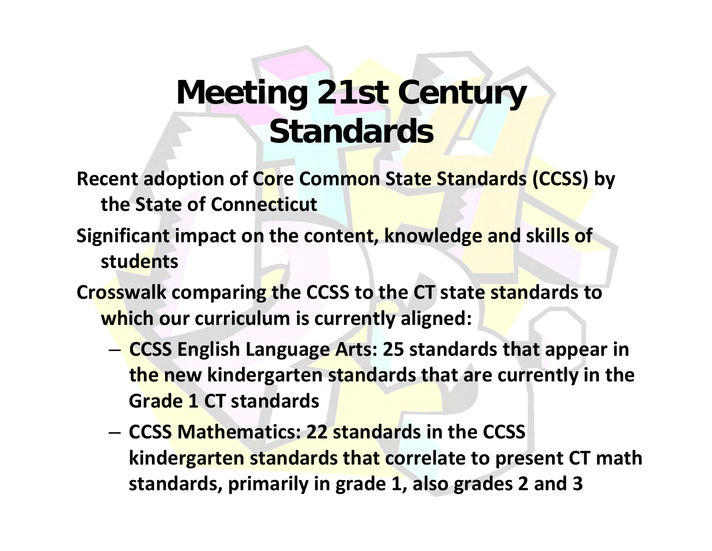### **Meeting 21st Century Standards**

- **Recent adoption of Core Common State Standards (CCSS) by the State of Connecticut**
- **Significant impact on the content, knowledge and skills of students**
- **Crosswalk comparing the CCSS to the CT state standards to which our curriculum is currently aligned:**
	- **CCSS English Language Arts: 25 standards that appear in the new kindergarten standards that are currently in the Grade1 CT standards**
	- **CCSS Mathematics: 22 standards in the CCSS kindergarten standards that correlate to present CT math standards, primarily in grade 1, also grades 2 and 3**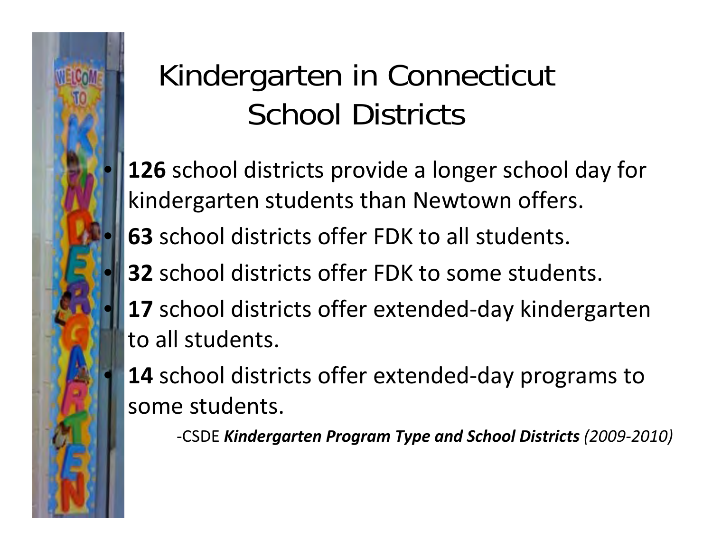## Kindergarten in Connecticut School Districts

- **•126** school districts provide a longer school day for kindergarten students than Newtown offers.
- **63** school districts offer FDK to all students.
- **32** school districts offer FDK to some students.
- **•17** school districts offer extended-day kindergarten to all students.
- **14** school districts offer extended-day programs to some students.

‐CSDE *Kindergarten Program Type and School Districts (2009 ‐2010)*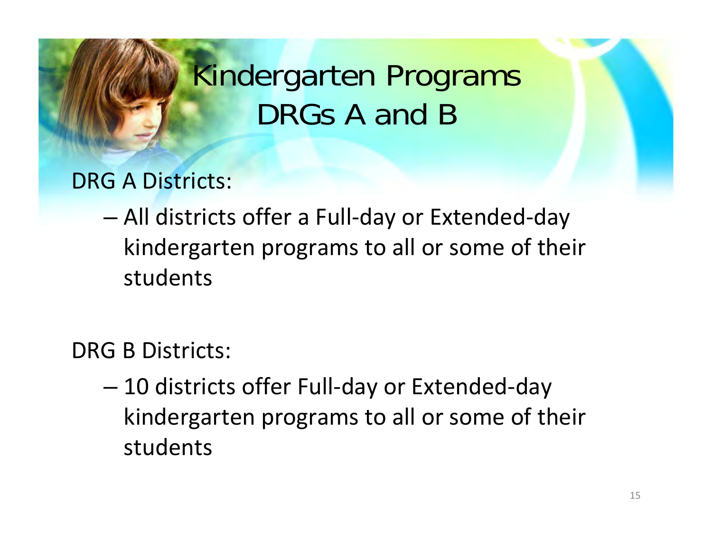### Kindergarten Programs DRGs A and B

DRG A Districts:

– All districts offer a Full ‐day or Extended ‐day kindergarten programs to all or some of their students

DRG B Districts:

 $-$  10 districts offer Full-day or Extended-day kindergarten programs to all or some of their students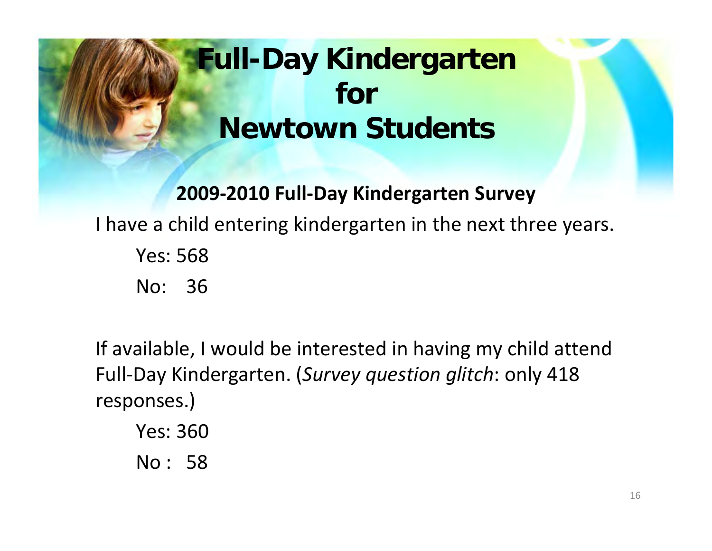### **Full-Day Kindergarten for Newtown Students**

**2009 ‐2010 Full ‐Day Kindergarten Survey** I have a child entering kindergarten in the next three years. Yes: 568No: 36

If available, I would be interested in having my child attend Full ‐Day Kindergarten. (*Survey question glitch*: only 418 responses.)

Yes: 360No : 58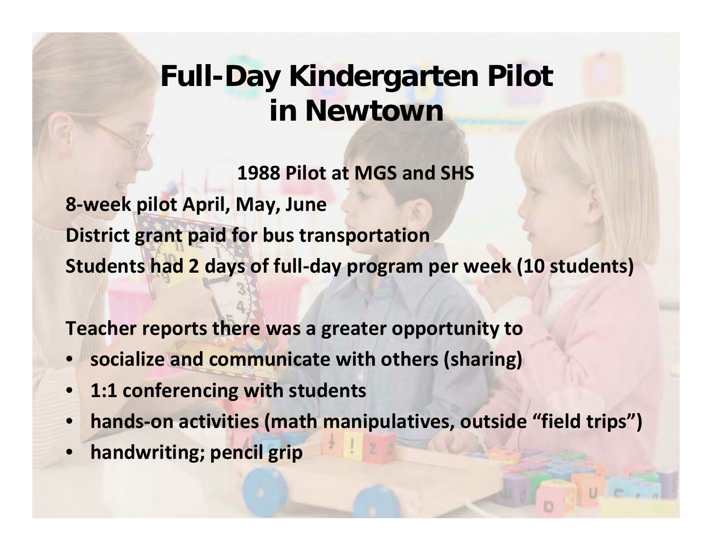#### **Full-Day Kindergarten Pilot in Newtown**

**1988 Pilot at MGS and SHS 8 ‐week pilot April, May, June District grant paid for bus transportation Students had 2 days of full ‐day program per week (10 students)**

**Teacher reports there was a greater opportunity to**

- **socialize and communicate with others (sharing)**
- **1:1 conferencing with students**
- **hands ‐on activities (math manipulatives, outside "field trips")**
- **handwriting; pencil grip**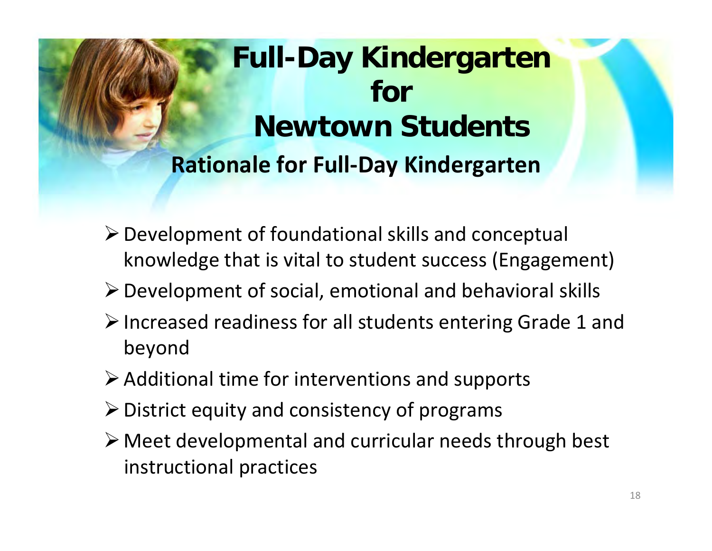### **Full-Day Kindergarten for Newtown StudentsRationale for Full ‐Day Kindergarten**

- Development of foundational skills and conceptual knowledge that is vital to student success (Engagement)
- $\triangleright$  Development of social, emotional and behavioral skills
- Increased readiness for all students entering Grade 1 and beyond
- $\triangleright$  Additional time for interventions and supports
- $\triangleright$  District equity and consistency of programs
- Meet developmental and curricular needs through best instructional practices